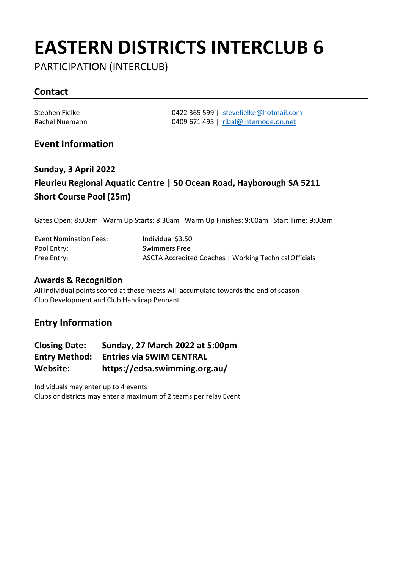# **EASTERN DISTRICTS INTERCLUB 6**

PARTICIPATION (INTERCLUB)

## **Contact**

Stephen Fielke **1422 365 599** | [stevefielke@hotmail.com](mailto:stevefielke@hotmail.com)<br>Rachel Nuemann 1409 671 495 | ribal@internode.on.net 0409 671 495 | [rjbal@internode.on.net](mailto:rjbal@internode.on.net)

### **Event Information**

# **Sunday, 3 April 2022 Fleurieu Regional Aquatic Centre | 50 Ocean Road, Hayborough SA 5211 Short Course Pool (25m)**

Gates Open: 8:00am Warm Up Starts: 8:30am Warm Up Finishes: 9:00am Start Time: 9:00am

| <b>Event Nomination Fees:</b> | Individual \$3.50                                      |
|-------------------------------|--------------------------------------------------------|
| Pool Entry:                   | <b>Swimmers Free</b>                                   |
| Free Entry:                   | ASCTA Accredited Coaches   Working Technical Officials |

#### **Awards & Recognition**

All individual points scored at these meets will accumulate towards the end of season Club Development and Club Handicap Pennant

### **Entry Information**

| <b>Closing Date:</b> | Sunday, 27 March 2022 at 5:00pm |
|----------------------|---------------------------------|
| <b>Entry Method:</b> | <b>Entries via SWIM CENTRAL</b> |
| Website:             | https://edsa.swimming.org.au/   |

Individuals may enter up to 4 events Clubs or districts may enter a maximum of 2 teams per relay Event